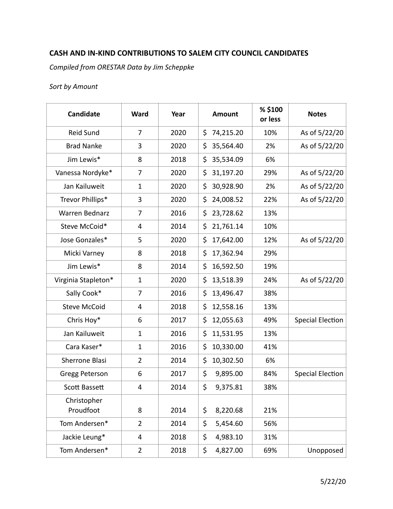## **CASH AND IN-KIND CONTRIBUTIONS TO SALEM CITY COUNCIL CANDIDATES**

*Compiled from ORESTAR Data by Jim Scheppke* 

## *Sort by Amount*

| Candidate                | Ward           | Year | <b>Amount</b>   | % \$100<br>or less | <b>Notes</b>            |
|--------------------------|----------------|------|-----------------|--------------------|-------------------------|
| Reid Sund                | $\overline{7}$ | 2020 | \$<br>74,215.20 | 10%                | As of 5/22/20           |
| <b>Brad Nanke</b>        | 3              | 2020 | \$<br>35,564.40 | 2%                 | As of 5/22/20           |
| Jim Lewis*               | 8              | 2018 | \$<br>35,534.09 | 6%                 |                         |
| Vanessa Nordyke*         | 7              | 2020 | 31,197.20<br>\$ | 29%                | As of 5/22/20           |
| Jan Kailuweit            | $\mathbf{1}$   | 2020 | \$<br>30,928.90 | 2%                 | As of 5/22/20           |
| Trevor Phillips*         | 3              | 2020 | \$<br>24,008.52 | 22%                | As of 5/22/20           |
| <b>Warren Bednarz</b>    | 7              | 2016 | \$<br>23,728.62 | 13%                |                         |
| Steve McCoid*            | 4              | 2014 | \$<br>21,761.14 | 10%                |                         |
| Jose Gonzales*           | 5              | 2020 | \$<br>17,642.00 | 12%                | As of 5/22/20           |
| Micki Varney             | 8              | 2018 | \$<br>17,362.94 | 29%                |                         |
| Jim Lewis*               | 8              | 2014 | \$<br>16,592.50 | 19%                |                         |
| Virginia Stapleton*      | $\mathbf 1$    | 2020 | \$<br>13,518.39 | 24%                | As of 5/22/20           |
| Sally Cook*              | 7              | 2016 | \$<br>13,496.47 | 38%                |                         |
| <b>Steve McCoid</b>      | 4              | 2018 | \$<br>12,558.16 | 13%                |                         |
| Chris Hoy*               | 6              | 2017 | \$<br>12,055.63 | 49%                | <b>Special Election</b> |
| Jan Kailuweit            | $\mathbf{1}$   | 2016 | \$<br>11,531.95 | 13%                |                         |
| Cara Kaser*              | 1              | 2016 | \$<br>10,330.00 | 41%                |                         |
| Sherrone Blasi           | $\overline{2}$ | 2014 | \$<br>10,302.50 | 6%                 |                         |
| Gregg Peterson           | 6              | 2017 | \$<br>9,895.00  | 84%                | <b>Special Election</b> |
| Scott Bassett            | 4              | 2014 | \$<br>9,375.81  | 38%                |                         |
| Christopher<br>Proudfoot | 8              | 2014 | \$<br>8,220.68  | 21%                |                         |
| Tom Andersen*            | $\overline{2}$ | 2014 | \$<br>5,454.60  | 56%                |                         |
| Jackie Leung*            | 4              | 2018 | \$<br>4,983.10  | 31%                |                         |
| Tom Andersen*            | $\overline{2}$ | 2018 | \$<br>4,827.00  | 69%                | Unopposed               |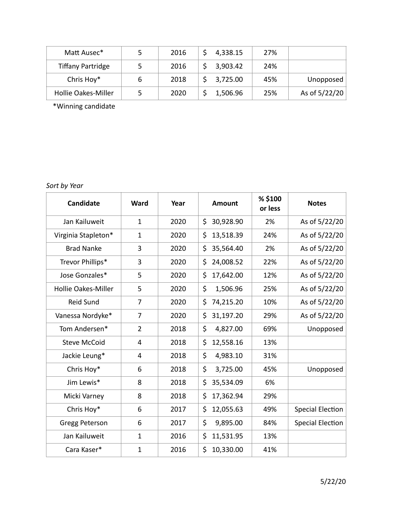| Matt Ausec*                | 2016 | 4,338.15 | 27% |               |
|----------------------------|------|----------|-----|---------------|
| <b>Tiffany Partridge</b>   | 2016 | 3,903.42 | 24% |               |
| Chris Hoy*                 | 2018 | 3,725.00 | 45% | Unopposed     |
| <b>Hollie Oakes-Miller</b> | 2020 | 1,506.96 | 25% | As of 5/22/20 |

\*Winning candidate

*Sort by Year* 

| <b>Candidate</b>           | <b>Ward</b>    | Year | <b>Amount</b>   | % \$100<br>or less | <b>Notes</b>            |
|----------------------------|----------------|------|-----------------|--------------------|-------------------------|
| Jan Kailuweit              | 1              | 2020 | \$<br>30,928.90 | 2%                 | As of 5/22/20           |
| Virginia Stapleton*        | $\mathbf{1}$   | 2020 | \$<br>13,518.39 | 24%                | As of 5/22/20           |
| <b>Brad Nanke</b>          | 3              | 2020 | \$<br>35,564.40 | 2%                 | As of 5/22/20           |
| Trevor Phillips*           | 3              | 2020 | \$<br>24,008.52 | 22%                | As of 5/22/20           |
| Jose Gonzales*             | 5              | 2020 | \$<br>17,642.00 | 12%                | As of 5/22/20           |
| <b>Hollie Oakes-Miller</b> | 5              | 2020 | \$<br>1,506.96  | 25%                | As of 5/22/20           |
| <b>Reid Sund</b>           | 7              | 2020 | \$<br>74,215.20 | 10%                | As of 5/22/20           |
| Vanessa Nordyke*           | $\overline{7}$ | 2020 | \$<br>31,197.20 | 29%                | As of 5/22/20           |
| Tom Andersen*              | $\overline{2}$ | 2018 | \$<br>4,827.00  | 69%                | Unopposed               |
| <b>Steve McCoid</b>        | 4              | 2018 | \$<br>12,558.16 | 13%                |                         |
| Jackie Leung*              | 4              | 2018 | \$<br>4,983.10  | 31%                |                         |
| Chris Hoy*                 | 6              | 2018 | \$<br>3,725.00  | 45%                | Unopposed               |
| Jim Lewis*                 | 8              | 2018 | \$<br>35,534.09 | 6%                 |                         |
| Micki Varney               | 8              | 2018 | \$<br>17,362.94 | 29%                |                         |
| Chris Hoy*                 | 6              | 2017 | \$<br>12,055.63 | 49%                | <b>Special Election</b> |
| Gregg Peterson             | 6              | 2017 | \$<br>9,895.00  | 84%                | <b>Special Election</b> |
| Jan Kailuweit              | $\mathbf{1}$   | 2016 | \$<br>11,531.95 | 13%                |                         |
| Cara Kaser*                | $\mathbf{1}$   | 2016 | \$<br>10,330.00 | 41%                |                         |